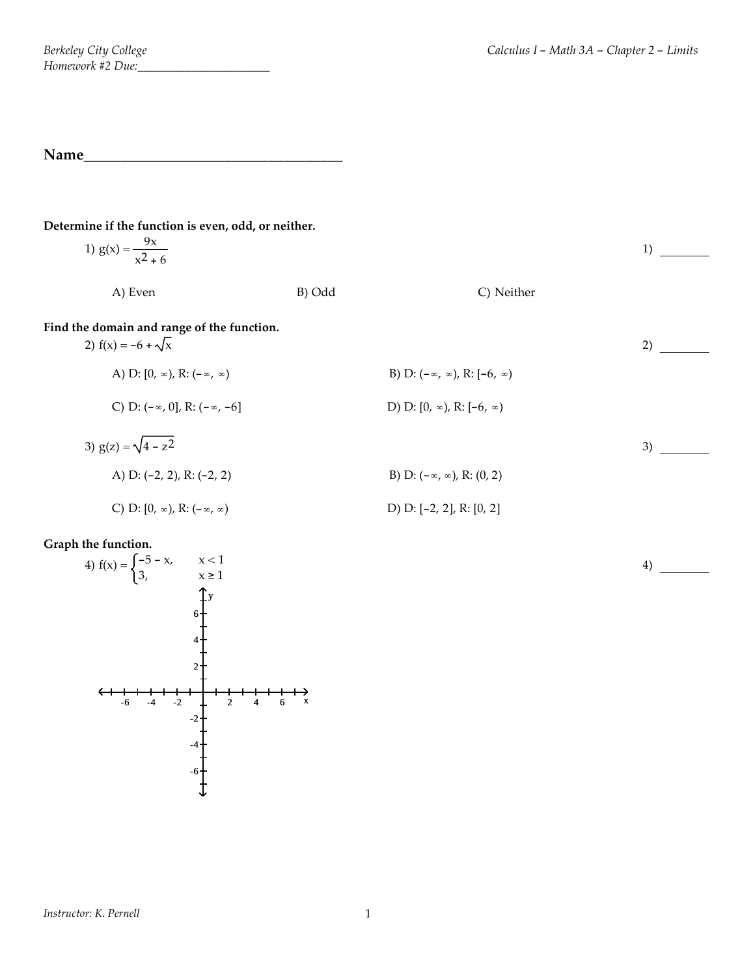**Name\_\_\_\_\_\_\_\_\_\_\_\_\_\_\_\_\_\_\_\_\_\_\_\_\_\_\_\_\_\_\_\_\_\_\_**

#### **Determine if the function is even, odd, or neither.**

| 1) $g(x) = \frac{9x}{x^2 + 6}$                                          |        |                                               | 1) |
|-------------------------------------------------------------------------|--------|-----------------------------------------------|----|
| A) Even                                                                 | B) Odd | C) Neither                                    |    |
| Find the domain and range of the function.<br>2) $f(x) = -6 + \sqrt{x}$ |        |                                               | 2) |
| A) D: $[0, \infty)$ , R: $(-\infty, \infty)$                            |        | B) D: $(-\infty, \infty)$ , R: $[-6, \infty)$ |    |
| C) D: $(-\infty, 0]$ , R: $(-\infty, -6]$                               |        | D) D: $[0, \infty)$ , R: $[-6, \infty)$       |    |
| 3) $g(z) = \sqrt{4 - z^2}$                                              |        |                                               | 3) |
| A) D: $(-2, 2)$ , R: $(-2, 2)$                                          |        | B) D: $(-\infty, \infty)$ , R: $(0, 2)$       |    |
| C) D: $[0, \infty)$ , R: $(-\infty, \infty)$                            |        | D) D: $[-2, 2]$ , R: $[0, 2]$                 |    |

## **Graph the function.**

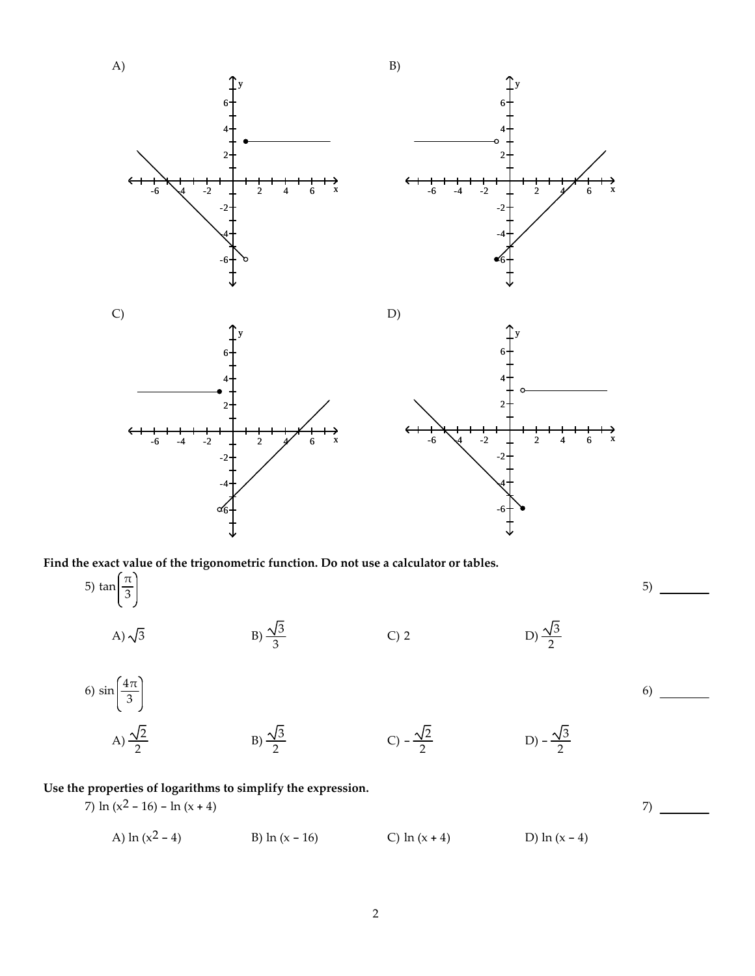

**Use the properties of logarithms to simplify the expression.**

B)  $\frac{\sqrt{3}}{2}$ 

6)  $\sin\left(\frac{4\pi}{3}\right)$ 

A)  $\frac{\sqrt{2}}{2}$ 

7) ln  $(x^2 - 16) - \ln(x + 4)$ A)  $\ln(x^2 - 4)$  B)  $\ln(x - 16)$  C)  $\ln(x + 4)$  D)  $\ln(x - 4)$ 7)

C)  $-\frac{\sqrt{2}}{2}$ 

 $\frac{\sqrt{2}}{2}$  D) –  $\frac{\sqrt{3}}{2}$ 

6)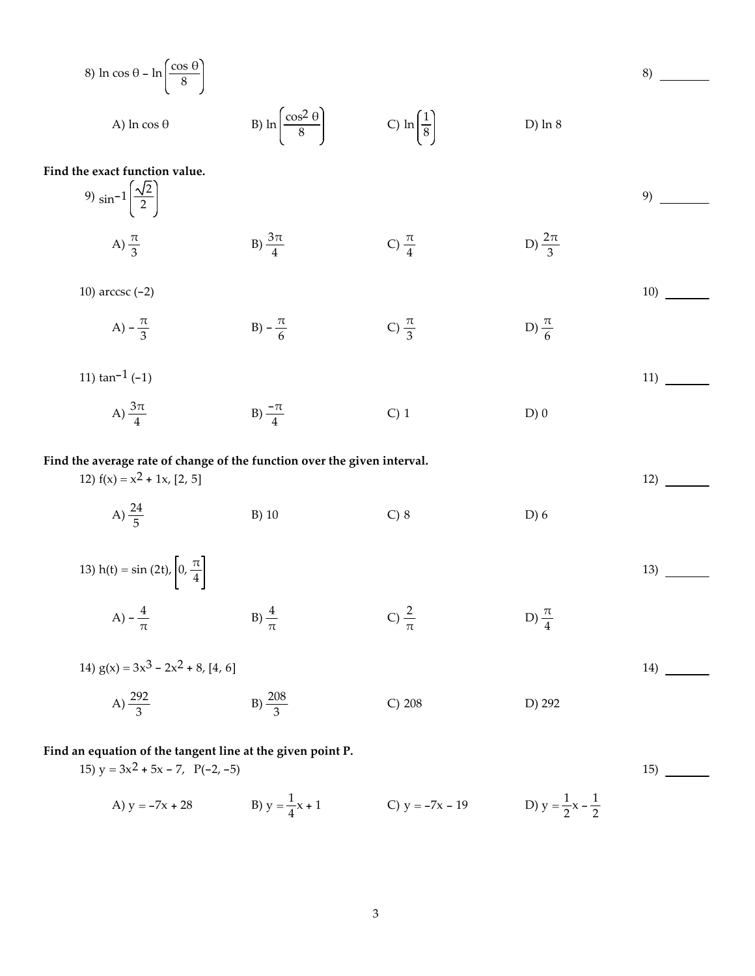8) ln cos 0 - ln
$$
\left(\frac{\cos \theta}{8}\right)
$$
  
\nA) ln cos  $\theta$   
\nB) ln $\left(\frac{\cos^2 0}{8}\right)$   
\nC) ln $\left(\frac{1}{8}\right)$   
\nD) ln 8  
\nFind the exact function value.  
\n9) sin<sup>-1</sup> $\left(\frac{\sqrt{2}}{2}\right)$   
\nA)  $\frac{\pi}{3}$   
\nB)  $\frac{3\pi}{4}$   
\nC)  $\frac{\pi}{4}$   
\nD)  $\frac{2\pi}{3}$   
\n10) arccsc (-2)  
\nA)  $-\frac{\pi}{3}$   
\nB)  $-\frac{\pi}{6}$   
\nC)  $\frac{\pi}{3}$   
\nD)  $\frac{\pi}{6}$   
\n11) tan<sup>-1</sup> (-1)  
\nA)  $\frac{3\pi}{4}$   
\nB)  $-\frac{\pi}{4}$   
\nC) 1  
\nD) 0  
\nFind the average rate of change of the function over the given interval.  
\n12)  $f(x) = x^2 + 1x$ , 12, 5]  
\nA)  $\frac{24}{5}$   
\nB) 10  
\nC) 8  
\nD) 6  
\n13) h(t) = sin (2t),  $\left[0, \frac{\pi}{4}\right]$   
\nA)  $-\frac{4}{\pi}$   
\nB)  $\frac{4}{\pi}$   
\nC)  $\frac{2}{\pi}$   
\nD)  $\frac{\pi}{4}$   
\n13)  $\frac{292}{3}$   
\nFind an equation of the tangent line at the given point P.  
\n15)  $y = 3x^2 + 5x - 7$ ,  $P(-2, -5)$   
\n16)

A) 
$$
y = -7x + 28
$$
   
B)  $y = \frac{1}{4}x + 1$    
C)  $y = -7x - 19$    
D)  $y = \frac{1}{2}x - \frac{1}{2}$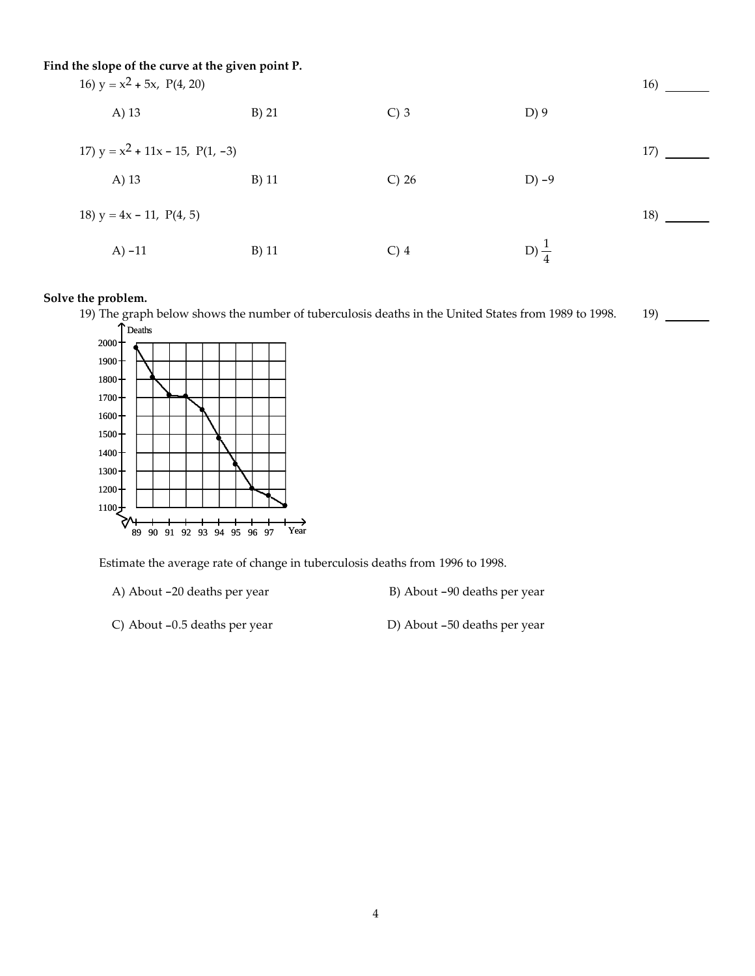| Find the slope of the curve at the given point P.<br>16) $y = x^2 + 5x$ , P(4, 20) |         |          |                  |     |
|------------------------------------------------------------------------------------|---------|----------|------------------|-----|
| A) 13                                                                              | $B)$ 21 | $C$ ) 3  | $D$ ) 9          |     |
| 17) $y = x^2 + 11x - 15$ , $P(1, -3)$                                              |         |          |                  | 17) |
| A) 13                                                                              | $B)$ 11 | $C$ ) 26 | $D$ ) -9         |     |
| 18) $y = 4x - 11$ , $P(4, 5)$                                                      |         |          |                  | 18) |
| $A) -11$                                                                           | $B)$ 11 | $C)$ 4   | D) $\frac{1}{4}$ |     |

## **Solve the problem.**

19) The graph below shows the number of tuberculosis deaths in the United States from 1989 to 1998. Deaths 19)



Estimate the average rate of change in tuberculosis deaths from 1996 to 1998.

A) About -20 deaths per year B) About -90 deaths per year

C) About -0.5 deaths per year D) About -50 deaths per year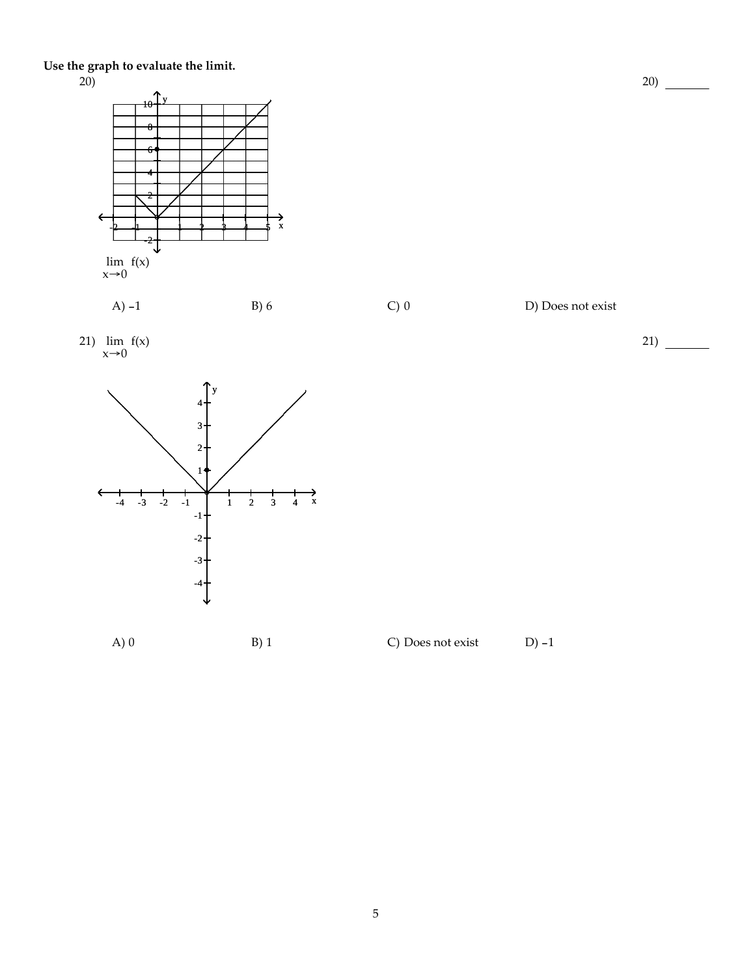**Use the graph to evaluate the limit.**









A) 0 B) 1 C) Does not exist D) -1



20)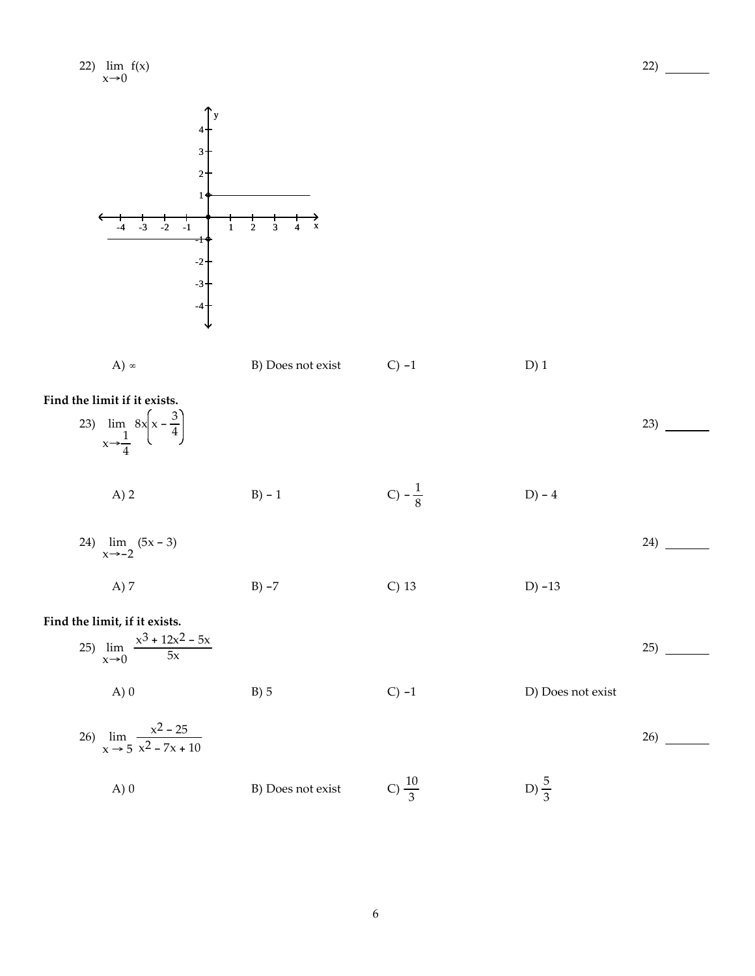| 22) $\lim_{x\to 0} f(x)$                                                                                                                                     |                                                           |                   |                   | 22) |
|--------------------------------------------------------------------------------------------------------------------------------------------------------------|-----------------------------------------------------------|-------------------|-------------------|-----|
| 4<br>$\overline{\mathbf{3}}$<br>$\overline{2}$<br>$\mathbf{1}$<br>$-3$ $-2$<br>$\overline{\phantom{0}}$<br>$-4$<br>$\mathbf 1$<br>╕<br>$-2$<br>$-3$<br>$-4-$ | $\overrightarrow{x}$<br>$\mathbf{2}$<br>$\mathbf{3}$<br>4 |                   |                   |     |
| A) $\infty$                                                                                                                                                  | B) Does not exist                                         | $C$ ) -1          | $D)$ 1            |     |
| Find the limit if it exists.<br>23) $\lim_{x \to \frac{1}{4}} 8x \left( x - \frac{3}{4} \right)$                                                             |                                                           |                   |                   | 23) |
| A) 2                                                                                                                                                         | $B) - 1$                                                  | C) $-\frac{1}{8}$ | $D) - 4$          |     |
| 24) $\lim_{x \to -2} (5x - 3)$                                                                                                                               |                                                           |                   |                   | 24) |
| A) 7                                                                                                                                                         | $B) -7$                                                   | $C)$ 13           | $D) - 13$         |     |
| Find the limit, if it exists.<br>25) $\lim_{x\to 0} \frac{x^3 + 12x^2 - 5x}{5x}$                                                                             |                                                           |                   |                   | 25) |
| $A)$ 0                                                                                                                                                       | $B)$ 5                                                    | $C$ ) -1          | D) Does not exist |     |
| 26) $\lim_{x \to 5} \frac{x^2 - 25}{x^2 - 7x + 10}$                                                                                                          |                                                           |                   |                   | 26) |
| $A)$ 0                                                                                                                                                       | B) Does not exist                                         | C) $\frac{10}{3}$ | D) $\frac{5}{3}$  |     |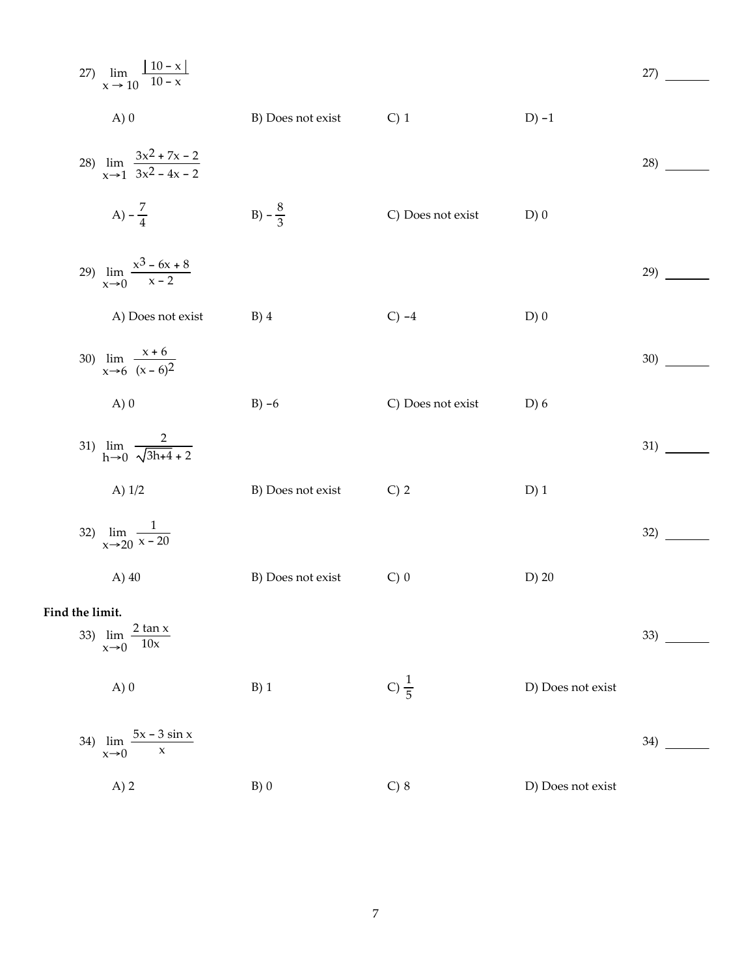|                 | 27) $\lim_{x\,\rightarrow\,10}\frac{\left \,10-x\,\right }{10-x}$ |                   |                   |                   | 27) |
|-----------------|-------------------------------------------------------------------|-------------------|-------------------|-------------------|-----|
|                 | A)0                                                               | B) Does not exist | $C)$ 1            | $D$ ) -1          |     |
|                 | 28) $\lim_{x\to 1} \frac{3x^2 + 7x - 2}{3x^2 - 4x - 2}$           |                   |                   |                   | 28) |
|                 | A) $-\frac{7}{4}$                                                 | B) $-\frac{8}{3}$ | C) Does not exist | D)0               |     |
|                 | 29) $\lim_{x\to 0} \frac{x^3 - 6x + 8}{x - 2}$                    |                   |                   |                   | 29) |
|                 | A) Does not exist                                                 | $B)$ 4            | $C) -4$           | $D)$ 0            |     |
|                 | 30) $\lim_{x \to 6} \frac{x+6}{(x-6)^2}$                          |                   |                   |                   | 30) |
|                 | A)0                                                               | $B) -6$           | C) Does not exist | D) 6              |     |
|                 | 31) $\lim_{h\to 0} \frac{2}{\sqrt{3h+4}+2}$                       |                   |                   |                   | 31) |
|                 | A) $1/2$                                                          | B) Does not exist | $C)$ 2            | $D)$ 1            |     |
|                 | 32) $\lim_{x\to 20} \frac{1}{x-20}$                               |                   |                   |                   | 32) |
|                 | A) $40$                                                           | B) Does not exist | $C)$ 0            | $D)$ 20           |     |
| Find the limit. |                                                                   |                   |                   |                   |     |
|                 | 33) $\lim_{x \to 0} \frac{2 \tan x}{10x}$                         |                   |                   |                   | 33) |
|                 | A)0                                                               | $B)$ 1            | C) $\frac{1}{5}$  | D) Does not exist |     |
| 34)             | $\lim_{x\to 0} \frac{5x-3\sin x}{x}$                              |                   |                   |                   | 34) |
|                 | A) 2                                                              | B)0               | $C)$ 8            | D) Does not exist |     |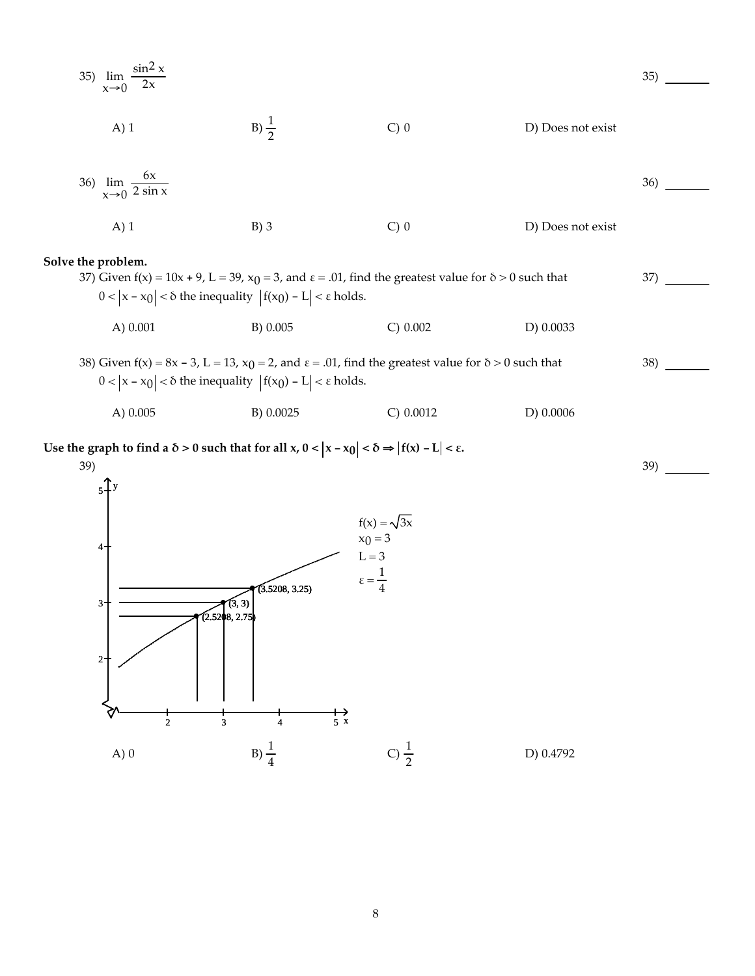35) 
$$
\lim_{x\to 0} \frac{\sin^2 x}{2x}
$$
  
\nA) 1  
\nB)  $\frac{1}{2}$   
\nC) 0  
\nD) Does not exist  
\n36) 
$$
\lim_{x\to 0} \frac{6x}{2 \sin x}
$$
  
\nA) 1  
\nB) 3  
\nC) 0  
\nD) Does not exist

**Solve the problem.**

37) Given  $f(x) = 10x + 9$ , L = 39,  $x_0 = 3$ , and  $\varepsilon = .01$ , find the greatest value for  $\delta > 0$  such that  $0 < |x - x_0| < \delta$  the inequality  $|f(x_0) - L| < \varepsilon$  holds. A) 0.001 B) 0.005 C) 0.002 D) 0.0033 37)

38)

39)

38) Given f(x) = 8x - 3, L = 13,  $x_0$  = 2, and  $\varepsilon$  = .01, find the greatest value for  $\delta$  > 0 such that 0 <  $|x - x_0|$  < δ the inequality  $|f(x_0) - L|$  < ε holds. A) 0.005 B) 0.0025 C) 0.0012 D) 0.0006

Use the graph to find a  $\delta > 0$  such that for all x,  $0 < |x - x_0| < \delta \Rightarrow |f(x) - L| < \epsilon$ .

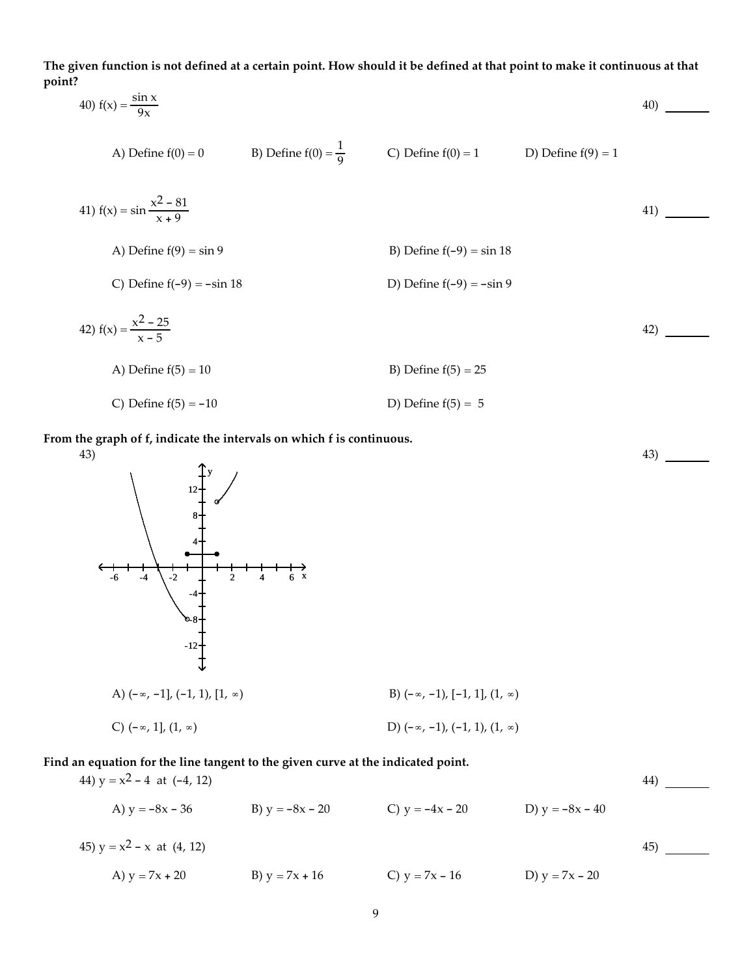The given function is not defined at a certain point. How should it be defined at that point to make it continuous at that **point?**

40) 
$$
f(x) = \frac{\sin x}{9x}
$$
  
\n41)  $f(x) = \sin \frac{x^2 - 81}{x + 9}$   
\n42)  $f(x) = \frac{x^2 - 25}{x - 5}$   
\n43) Define  $f(9) = \sin 9$   
\n44)  $f(x) = \sin \frac{x^2 - 81}{x + 9}$   
\n45) Define  $f(9) = \sin 9$   
\n46) Define  $f(9) = \sin 9$   
\n47)  $f(x) = \frac{x^2 - 25}{x - 5}$   
\n48) Define  $f(-9) = -\sin 18$   
\n49)  $f(x) = \frac{x^2 - 25}{x - 5}$   
\n40) Define  $f(-9) = -\sin 9$   
\n41)  $f(x) = \frac{x^2 - 25}{x - 5}$   
\n42)  $f(x) = \frac{x^2 - 25}{x - 5}$   
\n43) Define  $f(5) = 10$   
\n44) Define  $f(5) = 10$   
\n45) Define  $f(5) = 25$   
\n46) Define  $f(5) = 10$   
\n47) Define  $f(5) = 5$ 

 $43)$  —

**From the graph of f, indicate the intervals on which f is continuous.**



## **Find an equation for the line tangent to the given curve at the indicated point.**

| 44) $y = x^2 - 4$ at $(-4, 12)$ |                   |                   |                   | 44 |
|---------------------------------|-------------------|-------------------|-------------------|----|
| A) $y = -8x - 36$               | B) $y = -8x - 20$ | C) $y = -4x - 20$ | D) $y = -8x - 40$ |    |
| 45) $y = x^2 - x$ at (4, 12)    |                   |                   |                   | 45 |
| A) $y = 7x + 20$                | B) $y = 7x + 16$  | C) $y = 7x - 16$  | D) $y = 7x - 20$  |    |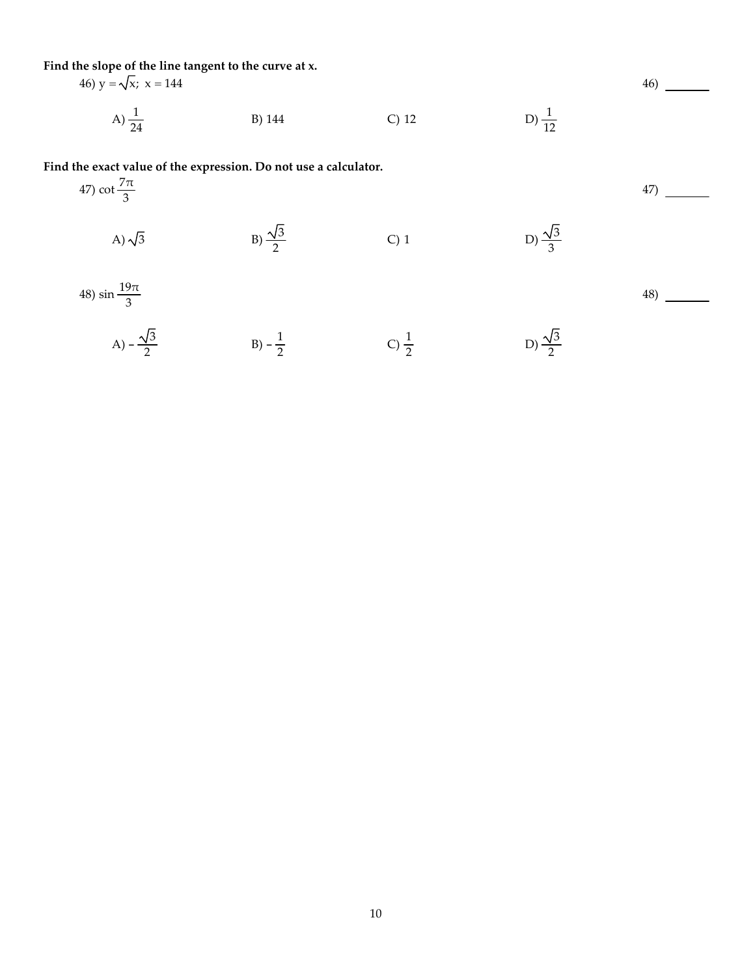**Find the slope of the line tangent to the curve at x.**

46) 
$$
y = \sqrt{x}
$$
;  $x = 144$   
\nA)  $\frac{1}{24}$   
\nB) 144  
\nC) 12  
\nD)  $\frac{1}{12}$ 

**Find the exact value of the expression. Do not use a calculator.**

47) cot 
$$
\frac{7\pi}{3}
$$
  
\nA)  $\sqrt{3}$   
\nB)  $\frac{\sqrt{3}}{2}$   
\nC) 1  
\nD)  $\frac{\sqrt{3}}{3}$   
\n48) sin  $\frac{19\pi}{3}$   
\nA)  $-\frac{\sqrt{3}}{2}$   
\nB)  $-\frac{1}{2}$   
\nC)  $\frac{1}{2}$   
\nD)  $\frac{\sqrt{3}}{2}$   
\n5)  $-\frac{1}{2}$   
\nC)  $\frac{1}{2}$   
\nD)  $\frac{\sqrt{3}}{2}$